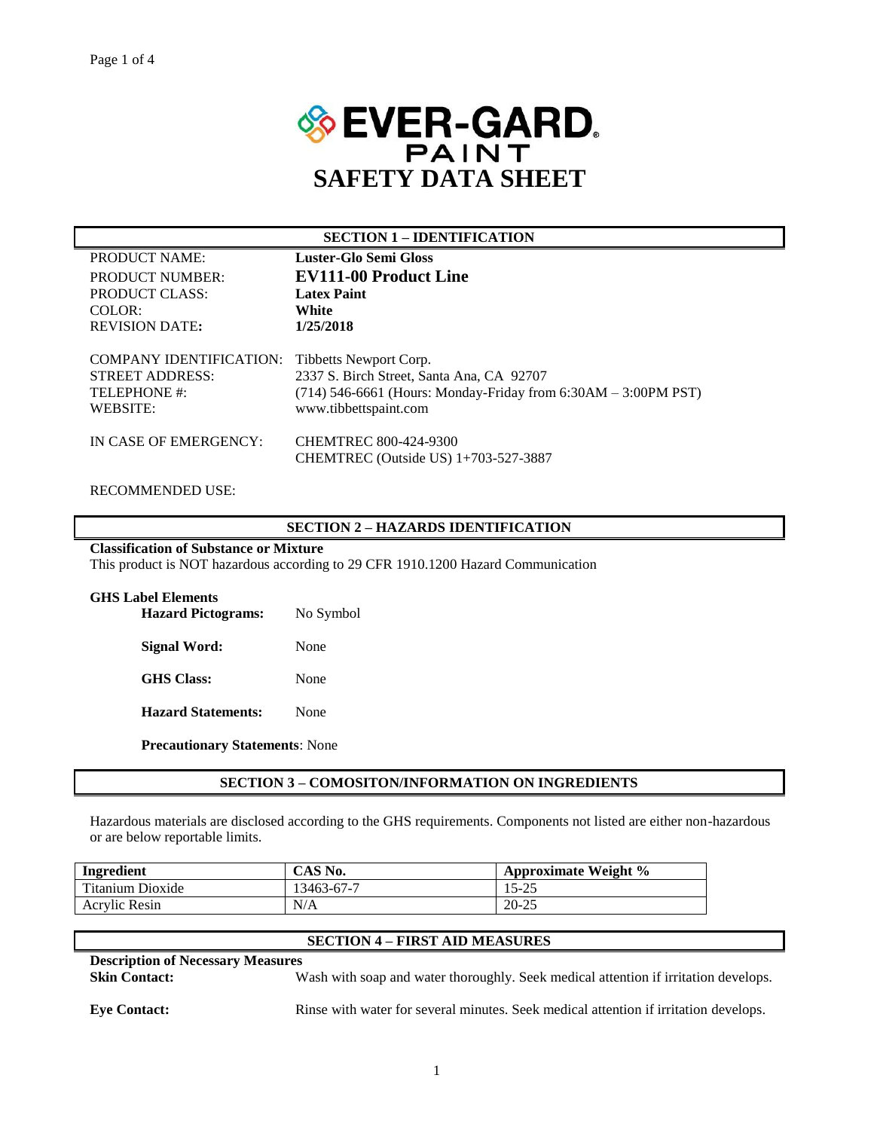

| <b>SECTION 1 – IDENTIFICATION</b>                                             |                                                                                                                                                                  |  |  |  |
|-------------------------------------------------------------------------------|------------------------------------------------------------------------------------------------------------------------------------------------------------------|--|--|--|
| PRODUCT NAME:                                                                 | Luster-Glo Semi Gloss                                                                                                                                            |  |  |  |
| PRODUCT NUMBER:                                                               | <b>EV111-00 Product Line</b>                                                                                                                                     |  |  |  |
| PRODUCT CLASS:                                                                | <b>Latex Paint</b>                                                                                                                                               |  |  |  |
| COLOR:                                                                        | White                                                                                                                                                            |  |  |  |
| <b>REVISION DATE:</b>                                                         | 1/25/2018                                                                                                                                                        |  |  |  |
| COMPANY IDENTIFICATION:<br><b>STREET ADDRESS:</b><br>TELEPHONE #:<br>WEBSITE: | Tibbetts Newport Corp.<br>2337 S. Birch Street, Santa Ana, CA 92707<br>$(714)$ 546-6661 (Hours: Monday-Friday from 6:30AM – 3:00PM PST)<br>www.tibbettspaint.com |  |  |  |
| IN CASE OF EMERGENCY:                                                         | CHEMTREC 800-424-9300<br>CHEMTREC (Outside US) 1+703-527-3887                                                                                                    |  |  |  |

### RECOMMENDED USE:

# **SECTION 2 – HAZARDS IDENTIFICATION**

# **Classification of Substance or Mixture**

This product is NOT hazardous according to 29 CFR 1910.1200 Hazard Communication

| <b>GHS Label Elements</b><br><b>Hazard Pictograms:</b> | No Symbol |
|--------------------------------------------------------|-----------|
| Signal Word:                                           | None      |
| <b>GHS Class:</b>                                      | None      |
| <b>Hazard Statements:</b>                              | None      |
|                                                        |           |

**Precautionary Statements**: None

#### **SECTION 3 – COMOSITON/INFORMATION ON INGREDIENTS**

Hazardous materials are disclosed according to the GHS requirements. Components not listed are either non-hazardous or are below reportable limits.

| Ingredient       | CAS No.    | <b>Approximate Weight %</b> |
|------------------|------------|-----------------------------|
| Titanium Dioxide | 13463-67-7 | $15 - 25$                   |
| Acrylic Resin    | N/A        | 20-25                       |

# **SECTION 4 – FIRST AID MEASURES**

**Description of Necessary Measures**

**Skin Contact:** Wash with soap and water thoroughly. Seek medical attention if irritation develops.

**Eye Contact:** Rinse with water for several minutes. Seek medical attention if irritation develops.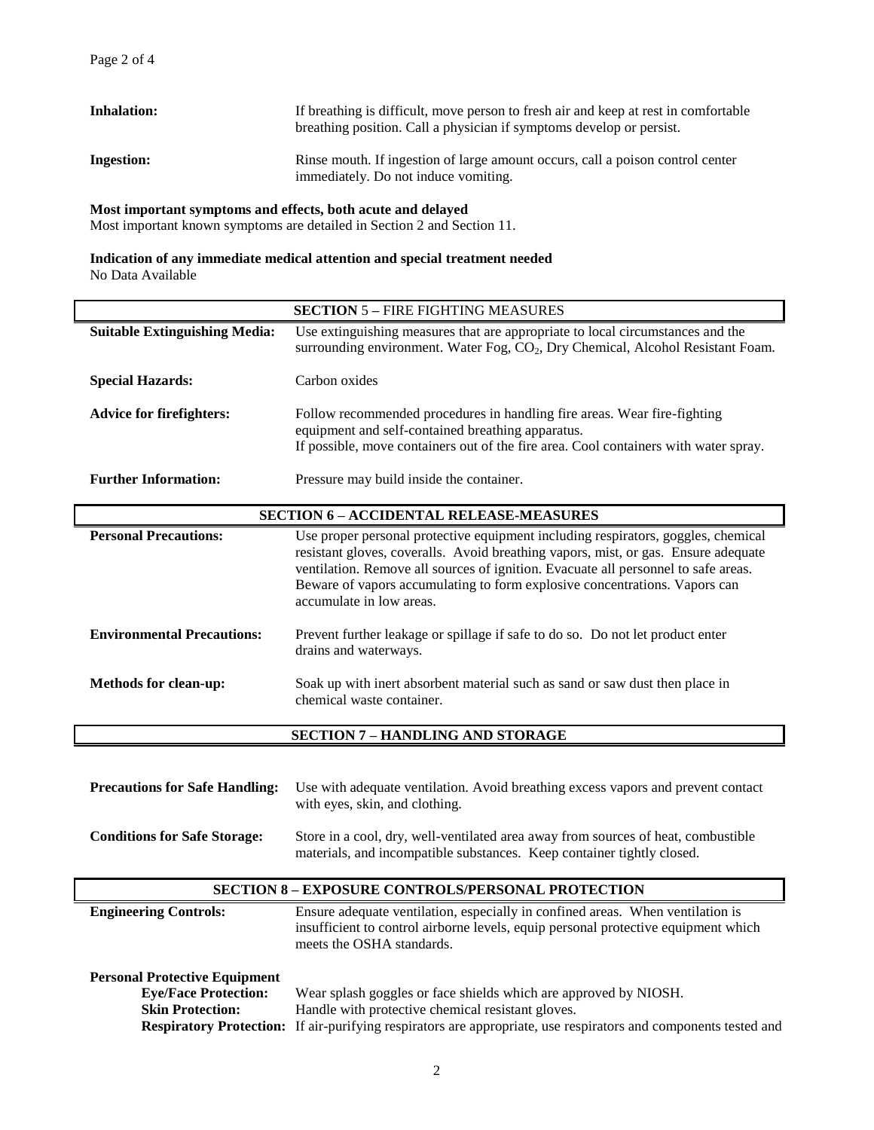| <b>Inhalation:</b> | If breathing is difficult, move person to fresh air and keep at rest in comfortable<br>breathing position. Call a physician if symptoms develop or persist. |
|--------------------|-------------------------------------------------------------------------------------------------------------------------------------------------------------|
| <b>Ingestion:</b>  | Rinse mouth. If ingestion of large amount occurs, call a poison control center<br>immediately. Do not induce vomiting.                                      |

# **Most important symptoms and effects, both acute and delayed**

Most important known symptoms are detailed in Section 2 and Section 11.

## **Indication of any immediate medical attention and special treatment needed** No Data Available

|                                       | <b>SECTION 5 - FIRE FIGHTING MEASURES</b>                                                                                                                                                                                                                                                                                                                               |
|---------------------------------------|-------------------------------------------------------------------------------------------------------------------------------------------------------------------------------------------------------------------------------------------------------------------------------------------------------------------------------------------------------------------------|
| <b>Suitable Extinguishing Media:</b>  | Use extinguishing measures that are appropriate to local circumstances and the<br>surrounding environment. Water Fog, CO <sub>2</sub> , Dry Chemical, Alcohol Resistant Foam.                                                                                                                                                                                           |
| <b>Special Hazards:</b>               | Carbon oxides                                                                                                                                                                                                                                                                                                                                                           |
| <b>Advice for firefighters:</b>       | Follow recommended procedures in handling fire areas. Wear fire-fighting<br>equipment and self-contained breathing apparatus.<br>If possible, move containers out of the fire area. Cool containers with water spray.                                                                                                                                                   |
| <b>Further Information:</b>           | Pressure may build inside the container.                                                                                                                                                                                                                                                                                                                                |
|                                       | <b>SECTION 6 - ACCIDENTAL RELEASE-MEASURES</b>                                                                                                                                                                                                                                                                                                                          |
| <b>Personal Precautions:</b>          | Use proper personal protective equipment including respirators, goggles, chemical<br>resistant gloves, coveralls. Avoid breathing vapors, mist, or gas. Ensure adequate<br>ventilation. Remove all sources of ignition. Evacuate all personnel to safe areas.<br>Beware of vapors accumulating to form explosive concentrations. Vapors can<br>accumulate in low areas. |
| <b>Environmental Precautions:</b>     | Prevent further leakage or spillage if safe to do so. Do not let product enter<br>drains and waterways.                                                                                                                                                                                                                                                                 |
| <b>Methods for clean-up:</b>          | Soak up with inert absorbent material such as sand or saw dust then place in<br>chemical waste container.                                                                                                                                                                                                                                                               |
|                                       | <b>SECTION 7 - HANDLING AND STORAGE</b>                                                                                                                                                                                                                                                                                                                                 |
|                                       |                                                                                                                                                                                                                                                                                                                                                                         |
| <b>Precautions for Safe Handling:</b> | Use with adequate ventilation. Avoid breathing excess vapors and prevent contact<br>with eyes, skin, and clothing.                                                                                                                                                                                                                                                      |
| <b>Conditions for Safe Storage:</b>   | Store in a cool, dry, well-ventilated area away from sources of heat, combustible<br>materials, and incompatible substances. Keep container tightly closed.                                                                                                                                                                                                             |
|                                       | <b>SECTION 8 - EXPOSURE CONTROLS/PERSONAL PROTECTION</b>                                                                                                                                                                                                                                                                                                                |
| <b>Engineering Controls:</b>          | Ensure adequate ventilation, especially in confined areas. When ventilation is<br>insufficient to control airborne levels, equip personal protective equipment which<br>meets the OSHA standards.                                                                                                                                                                       |

| <b>Personal Protective Equipment</b> |                                                                                                                        |
|--------------------------------------|------------------------------------------------------------------------------------------------------------------------|
| <b>Eve/Face Protection:</b>          | Wear splash goggles or face shields which are approved by NIOSH.                                                       |
| <b>Skin Protection:</b>              | Handle with protective chemical resistant gloves.                                                                      |
|                                      | <b>Respiratory Protection:</b> If air-purifying respirators are appropriate, use respirators and components tested and |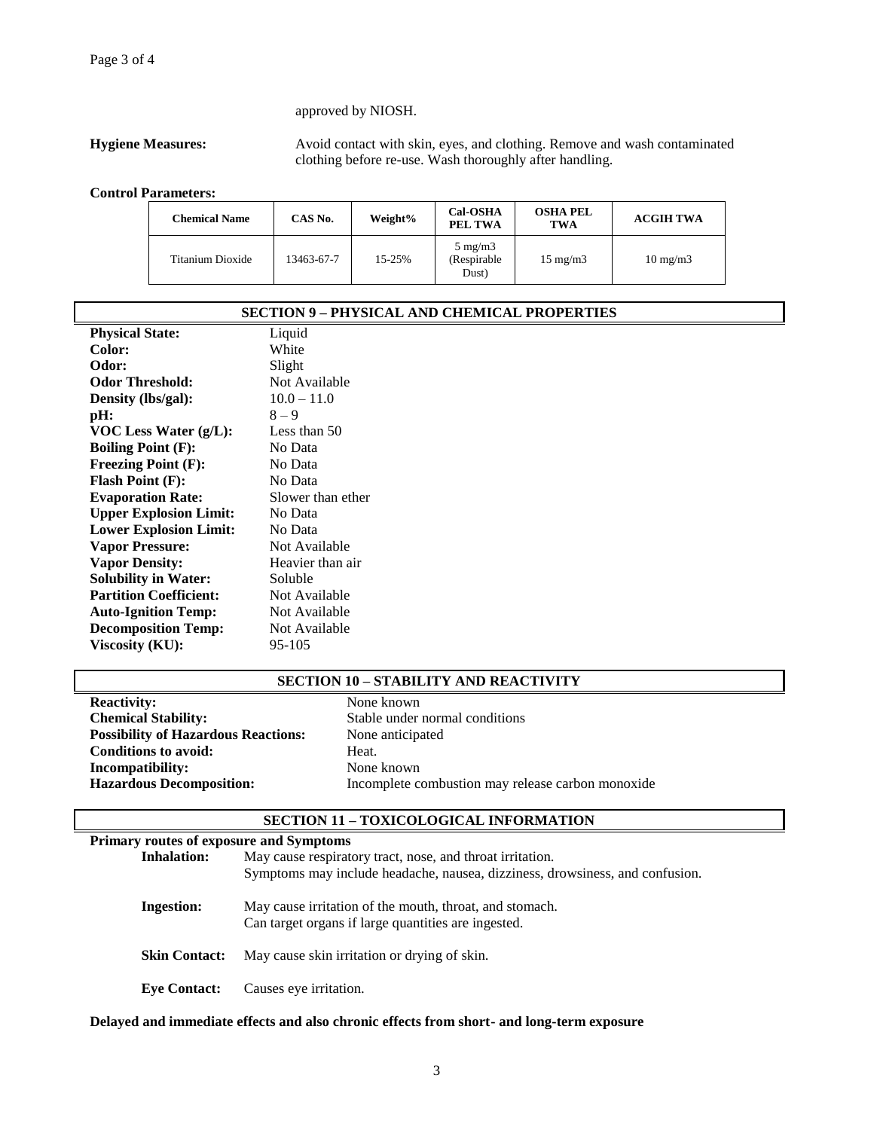approved by NIOSH.

**Hygiene Measures:** Avoid contact with skin, eyes, and clothing. Remove and wash contaminated clothing before re-use. Wash thoroughly after handling.

**Control Parameters:**

| <b>Chemical Name</b> | CAS No.    | Weight%    | <b>Cal-OSHA</b><br>PEL TWA                | <b>OSHA PEL</b><br>TWA | <b>ACGIH TWA</b>  |
|----------------------|------------|------------|-------------------------------------------|------------------------|-------------------|
| Titanium Dioxide     | 13463-67-7 | $15 - 25%$ | $5 \text{ mg/m}$<br>(Respirable)<br>Dust) | $15 \text{ mg/m}$      | $10 \text{ mg/m}$ |

| <b>SECTION 9 – PHYSICAL AND CHEMICAL PROPERTIES</b> |                   |  |  |
|-----------------------------------------------------|-------------------|--|--|
| <b>Physical State:</b>                              | Liquid            |  |  |
| Color:                                              | White             |  |  |
| Odor:                                               | Slight            |  |  |
| <b>Odor Threshold:</b>                              | Not Available     |  |  |
| Density (lbs/gal):                                  | $10.0 - 11.0$     |  |  |
| pH:                                                 | $8 - 9$           |  |  |
| VOC Less Water $(g/L)$ :                            | Less than 50      |  |  |
| <b>Boiling Point (F):</b>                           | No Data           |  |  |
| <b>Freezing Point (F):</b>                          | No Data           |  |  |
| <b>Flash Point (F):</b>                             | No Data           |  |  |
| <b>Evaporation Rate:</b>                            | Slower than ether |  |  |
| <b>Upper Explosion Limit:</b>                       | No Data           |  |  |
| <b>Lower Explosion Limit:</b>                       | No Data           |  |  |
| <b>Vapor Pressure:</b>                              | Not Available     |  |  |
| <b>Vapor Density:</b>                               | Heavier than air  |  |  |
| <b>Solubility in Water:</b>                         | Soluble           |  |  |
| <b>Partition Coefficient:</b>                       | Not Available     |  |  |
| <b>Auto-Ignition Temp:</b>                          | Not Available     |  |  |
| <b>Decomposition Temp:</b>                          | Not Available     |  |  |
| Viscosity (KU):                                     | 95-105            |  |  |

#### **SECTION 10 – STABILITY AND REACTIVITY**

| <b>Reactivity:</b>                         | None known                                        |
|--------------------------------------------|---------------------------------------------------|
| <b>Chemical Stability:</b>                 | Stable under normal conditions                    |
| <b>Possibility of Hazardous Reactions:</b> | None anticipated                                  |
| <b>Conditions to avoid:</b>                | Heat.                                             |
| Incompatibility:                           | None known                                        |
| <b>Hazardous Decomposition:</b>            | Incomplete combustion may release carbon monoxide |

# **SECTION 11 – TOXICOLOGICAL INFORMATION**

| <b>Primary routes of exposure and Symptoms</b> |                                                                              |  |  |  |  |
|------------------------------------------------|------------------------------------------------------------------------------|--|--|--|--|
| <b>Inhalation:</b>                             | May cause respiratory tract, nose, and throat irritation.                    |  |  |  |  |
|                                                | Symptoms may include headache, nausea, dizziness, drowsiness, and confusion. |  |  |  |  |
| <b>Ingestion:</b>                              | May cause irritation of the mouth, throat, and stomach.                      |  |  |  |  |
|                                                | Can target organs if large quantities are ingested.                          |  |  |  |  |
| <b>Skin Contact:</b>                           | May cause skin irritation or drying of skin.                                 |  |  |  |  |
|                                                |                                                                              |  |  |  |  |
| <b>Eve Contact:</b>                            | Causes eye irritation.                                                       |  |  |  |  |

# **Delayed and immediate effects and also chronic effects from short- and long-term exposure**